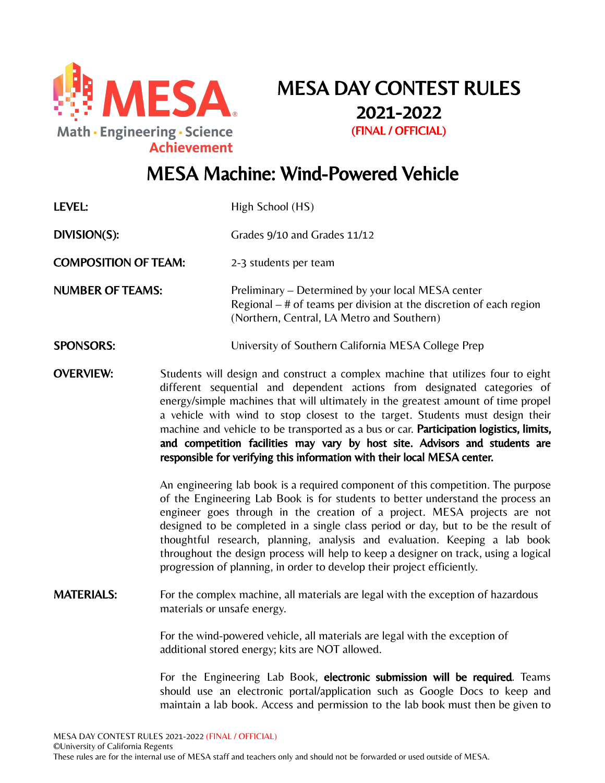

MESA DAY CONTEST RULES 2021-2022 (FINAL / OFFICIAL)

# MESA Machine: Wind-Powered Vehicle

| LEVEL:                      |                                                                                                                                                                                                                                                                                                                                                                                                                                                                                                                                                                                          | High School (HS)                                                                                                                                                          |  |
|-----------------------------|------------------------------------------------------------------------------------------------------------------------------------------------------------------------------------------------------------------------------------------------------------------------------------------------------------------------------------------------------------------------------------------------------------------------------------------------------------------------------------------------------------------------------------------------------------------------------------------|---------------------------------------------------------------------------------------------------------------------------------------------------------------------------|--|
| DIVISION(S):                |                                                                                                                                                                                                                                                                                                                                                                                                                                                                                                                                                                                          | Grades 9/10 and Grades 11/12                                                                                                                                              |  |
| <b>COMPOSITION OF TEAM:</b> |                                                                                                                                                                                                                                                                                                                                                                                                                                                                                                                                                                                          | 2-3 students per team                                                                                                                                                     |  |
| <b>NUMBER OF TEAMS:</b>     |                                                                                                                                                                                                                                                                                                                                                                                                                                                                                                                                                                                          | Preliminary – Determined by your local MESA center<br>Regional $-$ # of teams per division at the discretion of each region<br>(Northern, Central, LA Metro and Southern) |  |
| <b>SPONSORS:</b>            |                                                                                                                                                                                                                                                                                                                                                                                                                                                                                                                                                                                          | University of Southern California MESA College Prep                                                                                                                       |  |
| <b>OVERVIEW:</b>            | Students will design and construct a complex machine that utilizes four to eight<br>different sequential and dependent actions from designated categories of<br>energy/simple machines that will ultimately in the greatest amount of time propel<br>a vehicle with wind to stop closest to the target. Students must design their<br>machine and vehicle to be transported as a bus or car. Participation logistics, limits,<br>and competition facilities may vary by host site. Advisors and students are<br>responsible for verifying this information with their local MESA center. |                                                                                                                                                                           |  |
|                             | An engineering lab book is a required component of this competition. The purpose<br>of the Engineering Lab Book is for students to better understand the process an<br>engineer goes through in the creation of a project. MESA projects are not<br>designed to be completed in a single class period or day, but to be the result of<br>thoughtful research, planning, analysis and evaluation. Keeping a lab book<br>throughout the design process will help to keep a designer on track, using a logical<br>progression of planning, in order to develop their project efficiently.   |                                                                                                                                                                           |  |
| <b>MATERIALS:</b>           | For the complex machine, all materials are legal with the exception of hazardous<br>materials or unsafe energy.                                                                                                                                                                                                                                                                                                                                                                                                                                                                          |                                                                                                                                                                           |  |
|                             | For the wind-powered vehicle, all materials are legal with the exception of<br>additional stored energy; kits are NOT allowed.                                                                                                                                                                                                                                                                                                                                                                                                                                                           |                                                                                                                                                                           |  |
|                             | For the Engineering Lab Book, electronic submission will be required. Teams<br>should use an electronic portal/application such as Google Docs to keep and<br>maintain a lab book. Access and permission to the lab book must then be given to                                                                                                                                                                                                                                                                                                                                           |                                                                                                                                                                           |  |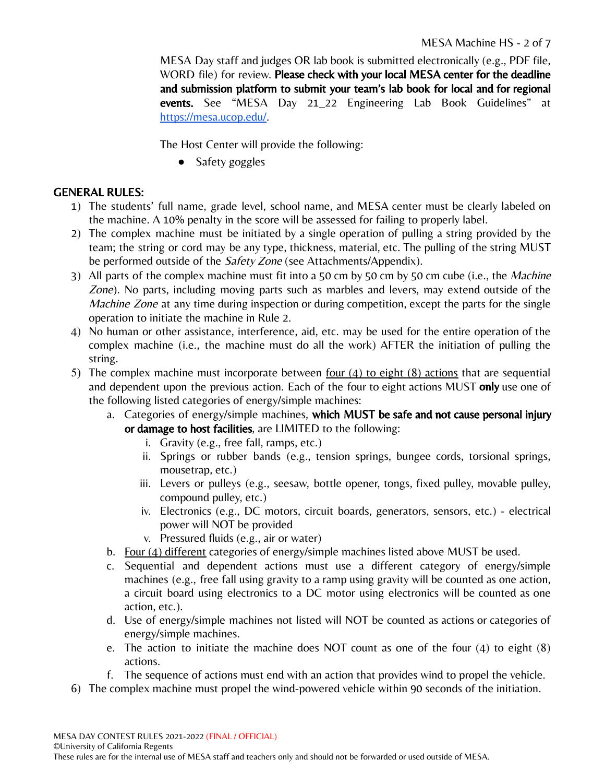MESA Day staff and judges OR lab book is submitted electronically (e.g., PDF file, WORD file) for review. Please check with your local MESA center for the deadline and submission platform to submit your team's lab book for local and for regional events. See "MESA Day 21\_22 Engineering Lab Book Guidelines" at [https://mesa.ucop.edu/.](https://mesa.ucop.edu/)

The Host Center will provide the following:

• Safety goggles

### GENERAL RULES:

- 1) The students' full name, grade level, school name, and MESA center must be clearly labeled on the machine. A 10% penalty in the score will be assessed for failing to properly label.
- 2) The complex machine must be initiated by a single operation of pulling a string provided by the team; the string or cord may be any type, thickness, material, etc. The pulling of the string MUST be performed outside of the *Safety Zone* (see Attachments/Appendix).
- 3) All parts of the complex machine must fit into a 50 cm by 50 cm by 50 cm cube (i.e., the Machine Zone). No parts, including moving parts such as marbles and levers, may extend outside of the Machine Zone at any time during inspection or during competition, except the parts for the single operation to initiate the machine in Rule 2.
- 4) No human or other assistance, interference, aid, etc. may be used for the entire operation of the complex machine (i.e., the machine must do all the work) AFTER the initiation of pulling the string.
- 5) The complex machine must incorporate between four (4) to eight (8) actions that are sequential and dependent upon the previous action. Each of the four to eight actions MUST only use one of the following listed categories of energy/simple machines:
	- a. Categories of energy/simple machines, which MUST be safe and not cause personal injury or damage to host facilities, are LIMITED to the following:
		- i. Gravity (e.g., free fall, ramps, etc.)
		- ii. Springs or rubber bands (e.g., tension springs, bungee cords, torsional springs, mousetrap, etc.)
		- iii. Levers or pulleys (e.g., seesaw, bottle opener, tongs, fixed pulley, movable pulley, compound pulley, etc.)
		- iv. Electronics (e.g., DC motors, circuit boards, generators, sensors, etc.) electrical power will NOT be provided
		- v. Pressured fluids (e.g., air or water)
	- b. Four  $(4)$  different categories of energy/simple machines listed above MUST be used.
	- c. Sequential and dependent actions must use a different category of energy/simple machines (e.g., free fall using gravity to a ramp using gravity will be counted as one action, a circuit board using electronics to a DC motor using electronics will be counted as one action, etc.).
	- d. Use of energy/simple machines not listed will NOT be counted as actions or categories of energy/simple machines.
	- e. The action to initiate the machine does NOT count as one of the four (4) to eight (8) actions.
	- f. The sequence of actions must end with an action that provides wind to propel the vehicle.
- 6) The complex machine must propel the wind-powered vehicle within 90 seconds of the initiation.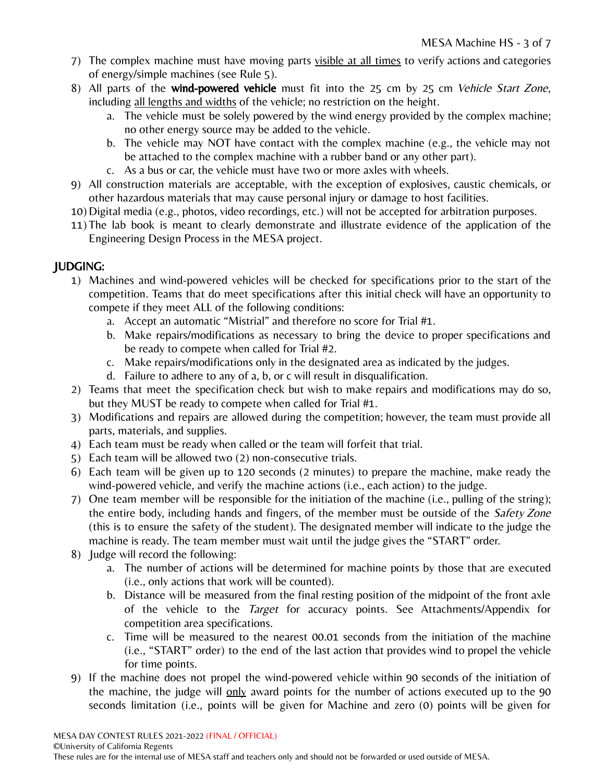- 7) The complex machine must have moving parts visible at all times to verify actions and categories of energy/simple machines (see Rule 5).
- 8) All parts of the wind-powered vehicle must fit into the 25 cm by 25 cm Vehicle Start Zone, including all lengths and widths of the vehicle; no restriction on the height.
	- a. The vehicle must be solely powered by the wind energy provided by the complex machine; no other energy source may be added to the vehicle.
	- b. The vehicle may NOT have contact with the complex machine (e.g., the vehicle may not be attached to the complex machine with a rubber band or any other part).
	- c. As a bus or car, the vehicle must have two or more axles with wheels.
- 9) All construction materials are acceptable, with the exception of explosives, caustic chemicals, or other hazardous materials that may cause personal injury or damage to host facilities.
- 10) Digital media (e.g., photos, video recordings, etc.) will not be accepted for arbitration purposes.
- 11) The lab book is meant to clearly demonstrate and illustrate evidence of the application of the Engineering Design Process in the MESA project.

## JUDGING:

- 1) Machines and wind-powered vehicles will be checked for specifications prior to the start of the competition. Teams that do meet specifications after this initial check will have an opportunity to compete if they meet ALL of the following conditions:
	- a. Accept an automatic "Mistrial" and therefore no score for Trial #1.
	- b. Make repairs/modifications as necessary to bring the device to proper specifications and be ready to compete when called for Trial #2.
	- c. Make repairs/modifications only in the designated area as indicated by the judges.
	- d. Failure to adhere to any of a, b, or c will result in disqualification.
- 2) Teams that meet the specification check but wish to make repairs and modifications may do so, but they MUST be ready to compete when called for Trial #1.
- 3) Modifications and repairs are allowed during the competition; however, the team must provide all parts, materials, and supplies.
- 4) Each team must be ready when called or the team will forfeit that trial.
- 5) Each team will be allowed two (2) non-consecutive trials.
- 6) Each team will be given up to 120 seconds (2 minutes) to prepare the machine, make ready the wind-powered vehicle, and verify the machine actions (i.e., each action) to the judge.
- 7) One team member will be responsible for the initiation of the machine (i.e., pulling of the string); the entire body, including hands and fingers, of the member must be outside of the Safety Zone (this is to ensure the safety of the student). The designated member will indicate to the judge the machine is ready. The team member must wait until the judge gives the "START" order.
- 8) Judge will record the following:
	- a. The number of actions will be determined for machine points by those that are executed (i.e., only actions that work will be counted).
	- b. Distance will be measured from the final resting position of the midpoint of the front axle of the vehicle to the Target for accuracy points. See Attachments/Appendix for competition area specifications.
	- c. Time will be measured to the nearest 00.01 seconds from the initiation of the machine (i.e., "START" order) to the end of the last action that provides wind to propel the vehicle for time points.
- 9) If the machine does not propel the wind-powered vehicle within 90 seconds of the initiation of the machine, the judge will only award points for the number of actions executed up to the 90 seconds limitation (i.e., points will be given for Machine and zero (0) points will be given for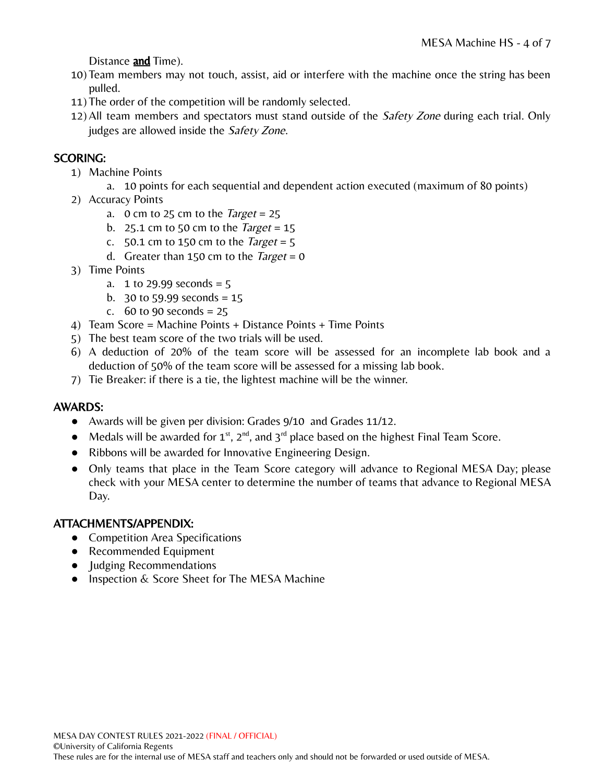Distance and Time).

- 10) Team members may not touch, assist, aid or interfere with the machine once the string has been pulled.
- 11) The order of the competition will be randomly selected.
- 12) All team members and spectators must stand outside of the *Safety Zone* during each trial. Only judges are allowed inside the Safety Zone.

### SCORING:

- 1) Machine Points
	- a. 10 points for each sequential and dependent action executed (maximum of 80 points)
- 2) Accuracy Points
	- a. 0 cm to 25 cm to the *Target* = 25
	- b. 25.1 cm to 50 cm to the *Target* =  $15$
	- c.  $50.1$  cm to 150 cm to the *Target* = 5
	- d. Greater than 150 cm to the *Target* = 0
- 3) Time Points
	- a. 1 to 29.99 seconds =  $5$
	- b. 30 to 59.99 seconds =  $15$
	- c.  $60$  to 90 seconds = 25
- 4) Team Score = Machine Points + Distance Points + Time Points
- 5) The best team score of the two trials will be used.
- 6) A deduction of 20% of the team score will be assessed for an incomplete lab book and a deduction of 50% of the team score will be assessed for a missing lab book.
- 7) Tie Breaker: if there is a tie, the lightest machine will be the winner.

#### AWARDS:

- Awards will be given per division: Grades 9/10 and Grades 11/12.
- Medals will be awarded for  $1^{st}$ ,  $2^{nd}$ , and  $3^{rd}$  place based on the highest Final Team Score.
- Ribbons will be awarded for Innovative Engineering Design.
- Only teams that place in the Team Score category will advance to Regional MESA Day; please check with your MESA center to determine the number of teams that advance to Regional MESA Day.

#### ATTACHMENTS/APPENDIX:

- Competition Area Specifications
- Recommended Equipment
- Judging Recommendations
- Inspection & Score Sheet for The MESA Machine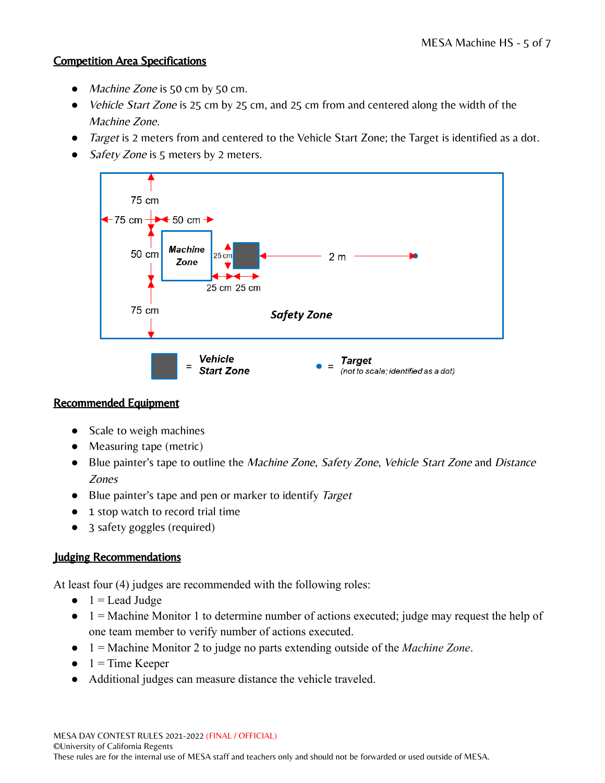#### Competition Area Specifications

- Machine Zone is 50 cm by 50 cm.
- *Vehicle Start Zone* is 25 cm by 25 cm, and 25 cm from and centered along the width of the Machine Zone.
- Target is 2 meters from and centered to the Vehicle Start Zone; the Target is identified as a dot.
- Safety Zone is 5 meters by 2 meters.



## Recommended Equipment

- Scale to weigh machines
- Measuring tape (metric)
- Blue painter's tape to outline the *Machine Zone*, *Safety Zone*, *Vehicle Start Zone* and *Distance* Zones
- Blue painter's tape and pen or marker to identify Target
- 1 stop watch to record trial time
- 3 safety goggles (required)

## Judging Recommendations

At least four (4) judges are recommended with the following roles:

- $\bullet$  1 = Lead Judge
- $\bullet$  1 = Machine Monitor 1 to determine number of actions executed; judge may request the help of one team member to verify number of actions executed.
- 1 = Machine Monitor 2 to judge no parts extending outside of the *Machine Zone*.
- $\bullet$  1 = Time Keeper
- Additional judges can measure distance the vehicle traveled.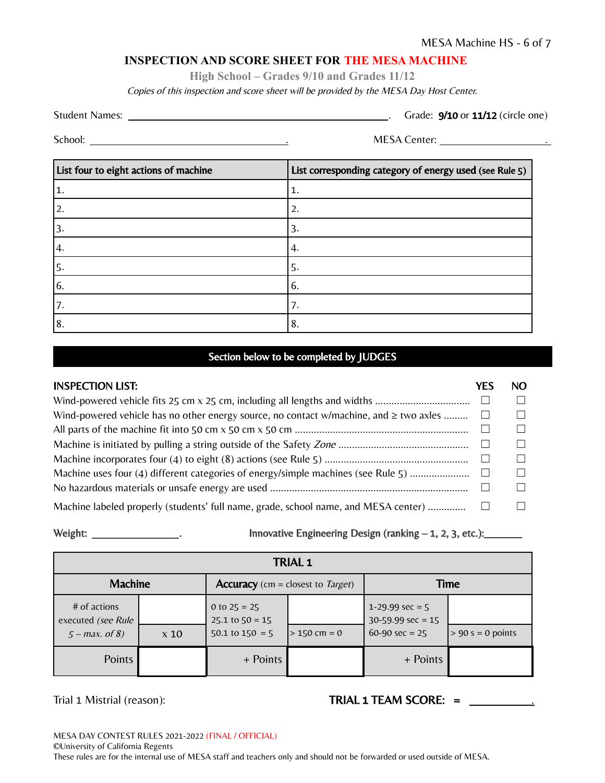#### **INSPECTION AND SCORE SHEET FOR THE MESA MACHINE**

**High School – Grades 9/10 and Grades 11/12**

Copies of this inspection and score sheet will be provided by the MESA Day Host Center.

Student Names: . Grade: 9/10 or 11/12 (circle one)

School: . MESA Center: .

| List four to eight actions of machine | List corresponding category of energy used (see Rule 5) |
|---------------------------------------|---------------------------------------------------------|
| 1.                                    | 1.                                                      |
| 12.                                   | 2.                                                      |
| 3.                                    | 3.                                                      |
| 4.                                    | 4.                                                      |
| l5.                                   | 5.                                                      |
| 6.                                    | 6.                                                      |
| '7.                                   |                                                         |
| 18.                                   | 8.                                                      |

#### Section below to be completed by JUDGES

| <b>INSPECTION LIST:</b>                                                                     | YES          | NO. |
|---------------------------------------------------------------------------------------------|--------------|-----|
|                                                                                             | $\Box$       |     |
| Wind-powered vehicle has no other energy source, no contact w/machine, and $\geq$ two axles | $\perp$      |     |
|                                                                                             | $\Box$       |     |
|                                                                                             | $\mathbf{L}$ |     |
|                                                                                             | $\Box$       |     |
| Machine uses four (4) different categories of energy/simple machines (see Rule 5)           | $\perp$      |     |
|                                                                                             |              |     |
| Machine labeled properly (students' full name, grade, school name, and MESA center)         |              |     |

Weight:  $\frac{1}{2}$ . Innovative Engineering Design (ranking  $-1$ , 2, 3, etc.):

| <b>TRIAL 1</b>                                         |             |                                                              |                |                                                              |                     |  |
|--------------------------------------------------------|-------------|--------------------------------------------------------------|----------------|--------------------------------------------------------------|---------------------|--|
| <b>Machine</b>                                         |             | <b>Accuracy</b> (cm = closest to <i>Target</i> )             |                | Time                                                         |                     |  |
| # of actions<br>executed (see Rule<br>$5 - max.$ of 8) | $\times 10$ | 0 to $25 = 25$<br>$25.1$ to $50 = 15$<br>$50.1$ to $150 = 5$ | $> 150$ cm = 0 | 1-29.99 $sec = 5$<br>$30-59.99$ sec = 15<br>$60-90$ sec = 25 | $> 90 s = 0$ points |  |
| Points                                                 |             | + Points                                                     |                | + Points                                                     |                     |  |

Trial 1 Mistrial (reason): TRIAL 1 TEAM SCORE: = \_\_\_\_\_\_\_\_\_\_\_\_\_\_\_\_\_\_\_\_\_\_\_\_\_\_\_\_\_\_\_